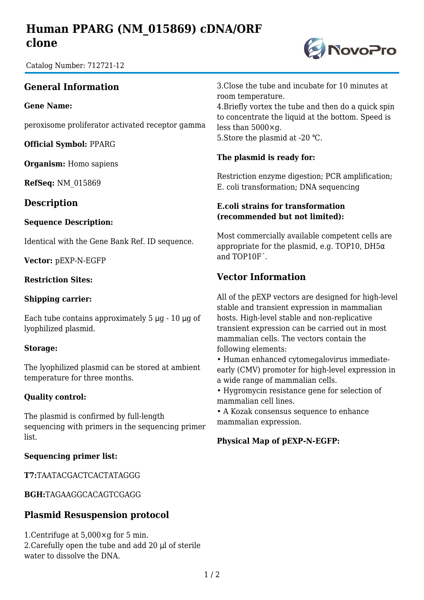# **Human PPARG (NM\_015869) cDNA/ORF clone**

Catalog Number: 712721-12

## **General Information**

**Gene Name:**

peroxisome proliferator activated receptor gamma

**Official Symbol:** PPARG

**Organism:** Homo sapiens

**RefSeq:** NM\_015869

### **Description**

#### **Sequence Description:**

Identical with the Gene Bank Ref. ID sequence.

**Vector:** pEXP-N-EGFP

#### **Restriction Sites:**

#### **Shipping carrier:**

Each tube contains approximately  $5 \mu g - 10 \mu g$  of lyophilized plasmid.

#### **Storage:**

The lyophilized plasmid can be stored at ambient temperature for three months.

#### **Quality control:**

The plasmid is confirmed by full-length sequencing with primers in the sequencing primer list.

#### **Sequencing primer list:**

**T7:**TAATACGACTCACTATAGGG

**BGH:**TAGAAGGCACAGTCGAGG

### **Plasmid Resuspension protocol**

1.Centrifuge at 5,000×g for 5 min. 2.Carefully open the tube and add 20 μl of sterile water to dissolve the DNA.

3.Close the tube and incubate for 10 minutes at room temperature.

4.Briefly vortex the tube and then do a quick spin to concentrate the liquid at the bottom. Speed is less than 5000×g. 5. Store the plasmid at -20 °C.

#### **The plasmid is ready for:**

Restriction enzyme digestion; PCR amplification; E. coli transformation; DNA sequencing

#### **E.coli strains for transformation (recommended but not limited):**

Most commercially available competent cells are appropriate for the plasmid, e.g. TOP10, DH5 $\alpha$ and TOP10F´.

## **Vector Information**

All of the pEXP vectors are designed for high-level stable and transient expression in mammalian hosts. High-level stable and non-replicative transient expression can be carried out in most mammalian cells. The vectors contain the following elements:

• Human enhanced cytomegalovirus immediateearly (CMV) promoter for high-level expression in a wide range of mammalian cells.

• Hygromycin resistance gene for selection of mammalian cell lines.

• A Kozak consensus sequence to enhance mammalian expression.

#### **Physical Map of pEXP-N-EGFP:**